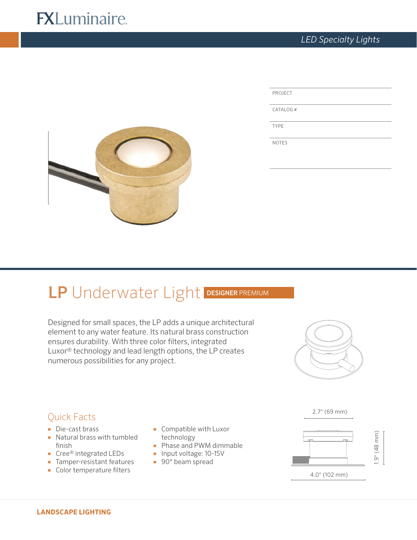# **FXLuminaire.**

| PROJECT     |  |
|-------------|--|
| CATALOG#    |  |
| <b>TYPE</b> |  |

NOTES



# LP Underwater Light DESIGNER PREMIUM

Designed for small spaces, the LP adds a unique architectural element to any water feature. Its natural brass construction ensures durability. With three color filters, integrated Luxor® technology and lead length options, the LP creates numerous possibilities for any project.



# Quick Facts

- Die-cast brass
- Natural brass with tumbled finish
- Cree® integrated LEDs
- Tamper-resistant features
- Color temperature filters
- Compatible with Luxor technology
- Phase and PWM dimmable
- Input voltage: 10-15V
- 90° beam spread



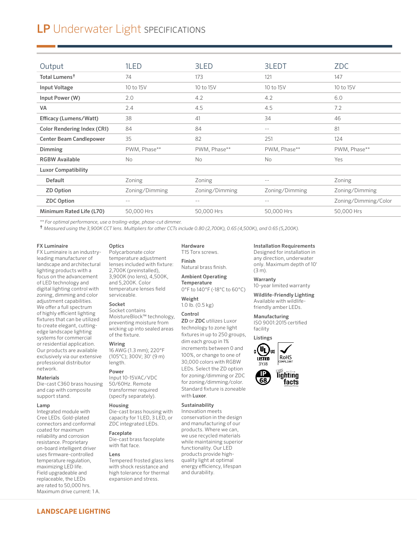# LP Underwater Light SPECIFICATIONS

| Output                             | 1LED           | 3LED           | 3LEDT          | <b>ZDC</b>           |
|------------------------------------|----------------|----------------|----------------|----------------------|
|                                    |                |                |                |                      |
| Total Lumens <sup>†</sup>          | 74             | 173            | 121            | 147                  |
| Input Voltage                      | 10 to 15V      | 10 to 15V      | 10 to 15V      | 10 to 15V            |
| Input Power (W)                    | 2.0            | 4.2            | 4.2            | 6.0                  |
| <b>VA</b>                          | 2.4            | 4.5            | 4.5            | 7.2                  |
| Efficacy (Lumens/Watt)             | 38             | 41             | 34             | 46                   |
| <b>Color Rendering Index (CRI)</b> | 84             | 84             | $- -$          | 81                   |
| <b>Center Beam Candlepower</b>     | 35             | 82             | 251            | 124                  |
| Dimming                            | PWM, Phase**   | PWM, Phase**   | PWM, Phase**   | PWM, Phase**         |
| <b>RGBW Available</b>              | No.            | No             | No             | Yes                  |
| <b>Luxor Compatibility</b>         |                |                |                |                      |
| <b>Default</b>                     | Zoning         | Zoning         | $- -$          | Zoning               |
| <b>ZD Option</b>                   | Zoning/Dimming | Zoning/Dimming | Zoning/Dimming | Zoning/Dimming       |
| <b>ZDC Option</b>                  | $- -$          | $ -$           | $-$            | Zoning/Dimming/Color |
| Minimum Rated Life (L70)           | 50,000 Hrs     | 50,000 Hrs     | 50,000 Hrs     | 50,000 Hrs           |

*\*\* For optimal performance, use a trailing-edge, phase-cut dimmer.* 

† *Measured using the 3,900K CCT lens. Multipliers for other CCTs include 0.80 (2,700K), 0.65 (4,500K), and 0.65 (5,200K).*

#### FX Luminaire

FX Luminaire is an industryleading manufacturer of landscape and architectural lighting products with a focus on the advancement of LED technology and digital lighting control with zoning, dimming and color adjustment capabilities. We offer a full spectrum of highly efficient lighting fixtures that can be utilized to create elegant, cuttingedge landscape lighting systems for commercial or residential application. Our products are available exclusively via our extensive professional distributor network.

#### Materials

Die-cast C360 brass housing and cap with composite support stand.

#### Lamp

Integrated module with Cree LEDs. Gold-plated connectors and conformal coated for maximum reliability and corrosion resistance. Proprietary on-board intelligent driver uses firmware-controlled temperature regulation, maximizing LED life. Field upgradeable and replaceable, the LEDs are rated to 50,000 hrs. Maximum drive current: 1 A.

### **Optics**

Polycarbonate color temperature adjustment lenses included with fixture: 2,700K (preinstalled), 3,900K (no lens), 4,500K, and 5,200K. Color temperature lenses field serviceable.

#### Socket

Socket contains MoistureBlock™ technology, preventing moisture from wicking up into sealed areas of the fixture.

### Wiring

16 AWG (1.3 mm); 220°F (105°C); 300V; 30' (9 m) length.

## Power

Input 10-15VAC/VDC 50/60Hz. Remote transformer required (specify separately).

#### Housing

Die-cast brass housing with capacity for 1 LED, 3 LED, or ZDC integrated LEDs.

#### Faceplate

Die-cast brass faceplate with flat face.

#### Lens

Tempered frosted glass lens with shock resistance and high tolerance for thermal expansion and stress.

### Hardware

T15 Torx screws. Finish Natural brass finish.

Ambient Operating **Temperature** 0°F to 140°F (-18°C to 60°C)

Weight 1.0 lb. (0.5 kg)

# Control

ZD or ZDC utilizes Luxor technology to zone light fixtures in up to 250 groups, dim each group in 1% increments between 0 and 100%, or change to one of 30,000 colors with RGBW LEDs. Select the ZD option for zoning/dimming or ZDC for zoning/dimming/color. Standard fixture is zoneable with Luxor.

# Sustainability

Innovation meets conservation in the design and manufacturing of our products. Where we can, we use recycled materials while maintaining superior functionality. Our LED products provide highquality light at optimal energy efficiency, lifespan and durability.

#### Installation Requirements

Designed for installation in any direction, underwater only. Maximum depth of 10' (3 m).

# Warranty

10-year limited warranty

Wildlife-Friendly Lighting Available with wildlifefriendly amber LEDs.

## Manufacturing

ISO 9001:2015 certified facility

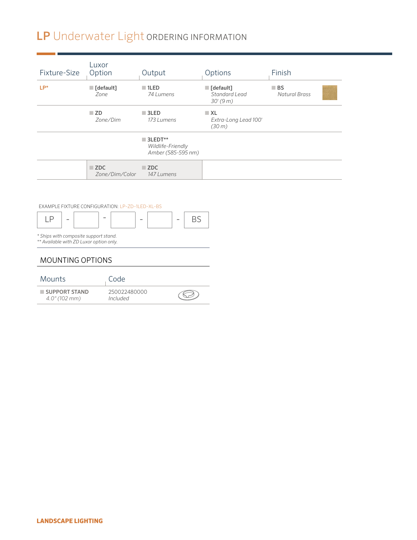# LP Underwater Light ORDERING INFORMATION

| Fixture-Size                       | Luxor<br>Option                                 | Output                                                            | Options                                              | Finish                                    |
|------------------------------------|-------------------------------------------------|-------------------------------------------------------------------|------------------------------------------------------|-------------------------------------------|
| $LP^*$                             | $\blacksquare$ [default]<br>Zone                | $\blacksquare$ 1LED<br>74 Lumens                                  | $\blacksquare$ [default]<br>Standard Lead<br>30'(9m) | $\blacksquare$ BS<br><b>Natural Brass</b> |
|                                    | $\square$ ZD<br>Zone/Dim                        | $\blacksquare$ 3LED<br>173 Lumens                                 | $\blacksquare$ XL<br>Extra-Long Lead 100'<br>(30 m)  |                                           |
|                                    |                                                 | $\blacksquare$ 3LEDT**<br>Wildlife-Friendly<br>Amber (585-595 nm) |                                                      |                                           |
|                                    | $\blacksquare$ ZDC<br>Zone/Dim/Color            | $\blacksquare$ ZDC<br>147 Lumens                                  |                                                      |                                           |
|                                    | EXAMPLE FIXTURE CONFIGURATION: LP-ZD-1LED-XL-BS |                                                                   |                                                      |                                           |
| LP<br>$\qquad \qquad \blacksquare$ | $\qquad \qquad$                                 | <b>BS</b><br>$\overline{\phantom{m}}$<br>$\overline{\phantom{a}}$ |                                                      |                                           |

*\*\* Available with ZD Luxor option only.* MOUNTING OPTIONS

*\* Ships with composite support stand.*

| <b>Mounts</b>                       | Code                     |  |
|-------------------------------------|--------------------------|--|
| SUPPORT STAND<br>$4.0''(102 \, mm)$ | 250022480000<br>Included |  |